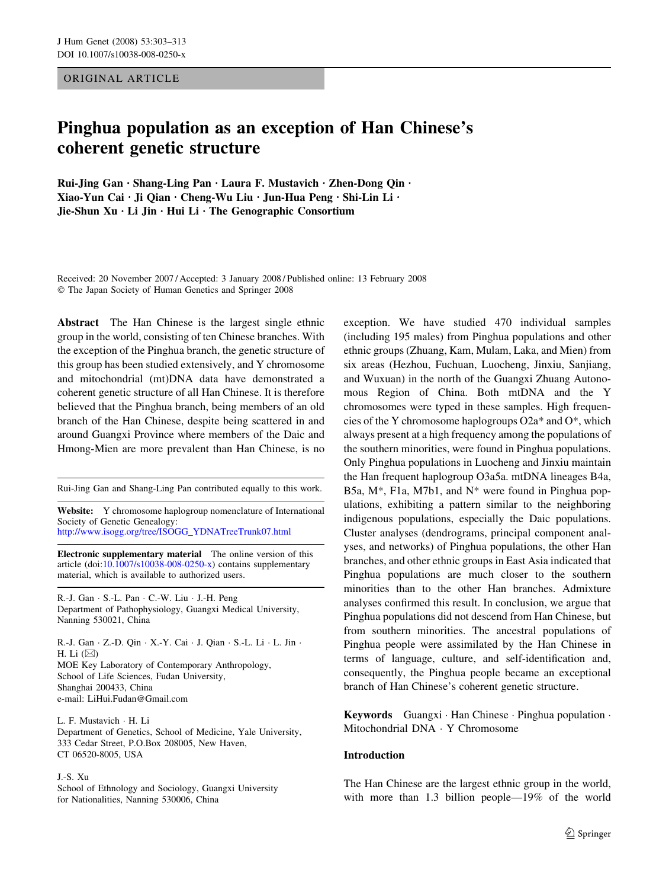ORIGINAL ARTICLE

# Pinghua population as an exception of Han Chinese's coherent genetic structure

Rui-Jing Gan · Shang-Ling Pan · Laura F. Mustavich · Zhen-Dong Qin · Xiao-Yun Cai · Ji Qian · Cheng-Wu Liu · Jun-Hua Peng · Shi-Lin Li · Jie-Shun Xu  $\cdot$  Li Jin  $\cdot$  Hui Li  $\cdot$  The Genographic Consortium

Received: 20 November 2007 / Accepted: 3 January 2008 / Published online: 13 February 2008 The Japan Society of Human Genetics and Springer 2008

Abstract The Han Chinese is the largest single ethnic group in the world, consisting of ten Chinese branches. With the exception of the Pinghua branch, the genetic structure of this group has been studied extensively, and Y chromosome and mitochondrial (mt)DNA data have demonstrated a coherent genetic structure of all Han Chinese. It is therefore believed that the Pinghua branch, being members of an old branch of the Han Chinese, despite being scattered in and around Guangxi Province where members of the Daic and Hmong-Mien are more prevalent than Han Chinese, is no

Rui-Jing Gan and Shang-Ling Pan contributed equally to this work.

Website: Y chromosome haplogroup nomenclature of International Society of Genetic Genealogy: [http://www.isogg.org/tree/ISOGG\\_YDNATreeTrunk07.html](http://www.isogg.org/tree/ISOGG_YDNATreeTrunk07.html)

Electronic supplementary material The online version of this article (doi:[10.1007/s10038-008-0250-x\)](http://dx.doi.org/10.1007/s10038-008-0250-x) contains supplementary material, which is available to authorized users.

R.-J. Gan · S.-L. Pan · C.-W. Liu · J.-H. Peng Department of Pathophysiology, Guangxi Medical University, Nanning 530021, China

R.-J. Gan · Z.-D. Qin · X.-Y. Cai · J. Qian · S.-L. Li · L. Jin · H. Li  $(\boxtimes)$ MOE Key Laboratory of Contemporary Anthropology, School of Life Sciences, Fudan University, Shanghai 200433, China e-mail: LiHui.Fudan@Gmail.com

L. F. Mustavich H. Li Department of Genetics, School of Medicine, Yale University, 333 Cedar Street, P.O.Box 208005, New Haven, CT 06520-8005, USA

#### J.-S. Xu

School of Ethnology and Sociology, Guangxi University for Nationalities, Nanning 530006, China

exception. We have studied 470 individual samples (including 195 males) from Pinghua populations and other ethnic groups (Zhuang, Kam, Mulam, Laka, and Mien) from six areas (Hezhou, Fuchuan, Luocheng, Jinxiu, Sanjiang, and Wuxuan) in the north of the Guangxi Zhuang Autonomous Region of China. Both mtDNA and the Y chromosomes were typed in these samples. High frequencies of the Y chromosome haplogroups O2a\* and O\*, which always present at a high frequency among the populations of the southern minorities, were found in Pinghua populations. Only Pinghua populations in Luocheng and Jinxiu maintain the Han frequent haplogroup O3a5a. mtDNA lineages B4a, B5a, M\*, F1a, M7b1, and N\* were found in Pinghua populations, exhibiting a pattern similar to the neighboring indigenous populations, especially the Daic populations. Cluster analyses (dendrograms, principal component analyses, and networks) of Pinghua populations, the other Han branches, and other ethnic groups in East Asia indicated that Pinghua populations are much closer to the southern minorities than to the other Han branches. Admixture analyses confirmed this result. In conclusion, we argue that Pinghua populations did not descend from Han Chinese, but from southern minorities. The ancestral populations of Pinghua people were assimilated by the Han Chinese in terms of language, culture, and self-identification and, consequently, the Pinghua people became an exceptional branch of Han Chinese's coherent genetic structure.

**Keywords** Guangxi  $\cdot$  Han Chinese  $\cdot$  Pinghua population  $\cdot$ Mitochondrial DNA · Y Chromosome

#### Introduction

The Han Chinese are the largest ethnic group in the world, with more than 1.3 billion people—19% of the world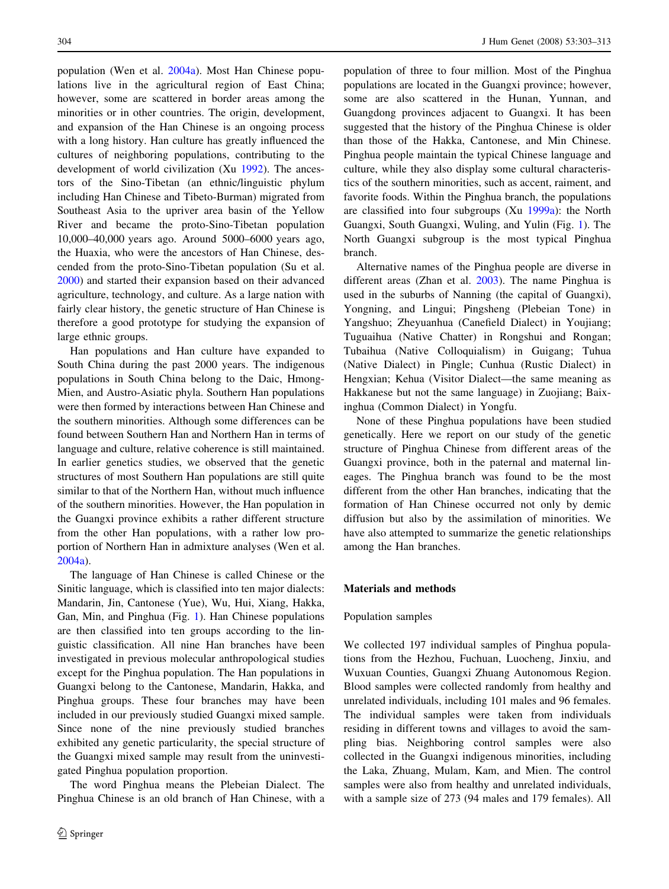population (Wen et al. [2004a](#page-10-0)). Most Han Chinese populations live in the agricultural region of East China; however, some are scattered in border areas among the minorities or in other countries. The origin, development, and expansion of the Han Chinese is an ongoing process with a long history. Han culture has greatly influenced the cultures of neighboring populations, contributing to the development of world civilization (Xu [1992](#page-10-0)). The ancestors of the Sino-Tibetan (an ethnic/linguistic phylum including Han Chinese and Tibeto-Burman) migrated from Southeast Asia to the upriver area basin of the Yellow River and became the proto-Sino-Tibetan population 10,000–40,000 years ago. Around 5000–6000 years ago, the Huaxia, who were the ancestors of Han Chinese, descended from the proto-Sino-Tibetan population (Su et al. [2000\)](#page-10-0) and started their expansion based on their advanced agriculture, technology, and culture. As a large nation with fairly clear history, the genetic structure of Han Chinese is therefore a good prototype for studying the expansion of large ethnic groups.

Han populations and Han culture have expanded to South China during the past 2000 years. The indigenous populations in South China belong to the Daic, Hmong-Mien, and Austro-Asiatic phyla. Southern Han populations were then formed by interactions between Han Chinese and the southern minorities. Although some differences can be found between Southern Han and Northern Han in terms of language and culture, relative coherence is still maintained. In earlier genetics studies, we observed that the genetic structures of most Southern Han populations are still quite similar to that of the Northern Han, without much influence of the southern minorities. However, the Han population in the Guangxi province exhibits a rather different structure from the other Han populations, with a rather low proportion of Northern Han in admixture analyses (Wen et al. [2004a](#page-10-0)).

The language of Han Chinese is called Chinese or the Sinitic language, which is classified into ten major dialects: Mandarin, Jin, Cantonese (Yue), Wu, Hui, Xiang, Hakka, Gan, Min, and Pinghua (Fig. [1\)](#page-2-0). Han Chinese populations are then classified into ten groups according to the linguistic classification. All nine Han branches have been investigated in previous molecular anthropological studies except for the Pinghua population. The Han populations in Guangxi belong to the Cantonese, Mandarin, Hakka, and Pinghua groups. These four branches may have been included in our previously studied Guangxi mixed sample. Since none of the nine previously studied branches exhibited any genetic particularity, the special structure of the Guangxi mixed sample may result from the uninvestigated Pinghua population proportion.

The word Pinghua means the Plebeian Dialect. The Pinghua Chinese is an old branch of Han Chinese, with a population of three to four million. Most of the Pinghua populations are located in the Guangxi province; however, some are also scattered in the Hunan, Yunnan, and Guangdong provinces adjacent to Guangxi. It has been suggested that the history of the Pinghua Chinese is older than those of the Hakka, Cantonese, and Min Chinese. Pinghua people maintain the typical Chinese language and culture, while they also display some cultural characteristics of the southern minorities, such as accent, raiment, and favorite foods. Within the Pinghua branch, the populations are classified into four subgroups (Xu [1999a](#page-10-0)): the North Guangxi, South Guangxi, Wuling, and Yulin (Fig. [1\)](#page-2-0). The North Guangxi subgroup is the most typical Pinghua branch.

Alternative names of the Pinghua people are diverse in different areas (Zhan et al. [2003](#page-10-0)). The name Pinghua is used in the suburbs of Nanning (the capital of Guangxi), Yongning, and Lingui; Pingsheng (Plebeian Tone) in Yangshuo; Zheyuanhua (Canefield Dialect) in Youjiang; Tuguaihua (Native Chatter) in Rongshui and Rongan; Tubaihua (Native Colloquialism) in Guigang; Tuhua (Native Dialect) in Pingle; Cunhua (Rustic Dialect) in Hengxian; Kehua (Visitor Dialect—the same meaning as Hakkanese but not the same language) in Zuojiang; Baixinghua (Common Dialect) in Yongfu.

None of these Pinghua populations have been studied genetically. Here we report on our study of the genetic structure of Pinghua Chinese from different areas of the Guangxi province, both in the paternal and maternal lineages. The Pinghua branch was found to be the most different from the other Han branches, indicating that the formation of Han Chinese occurred not only by demic diffusion but also by the assimilation of minorities. We have also attempted to summarize the genetic relationships among the Han branches.

## Materials and methods

#### Population samples

We collected 197 individual samples of Pinghua populations from the Hezhou, Fuchuan, Luocheng, Jinxiu, and Wuxuan Counties, Guangxi Zhuang Autonomous Region. Blood samples were collected randomly from healthy and unrelated individuals, including 101 males and 96 females. The individual samples were taken from individuals residing in different towns and villages to avoid the sampling bias. Neighboring control samples were also collected in the Guangxi indigenous minorities, including the Laka, Zhuang, Mulam, Kam, and Mien. The control samples were also from healthy and unrelated individuals, with a sample size of 273 (94 males and 179 females). All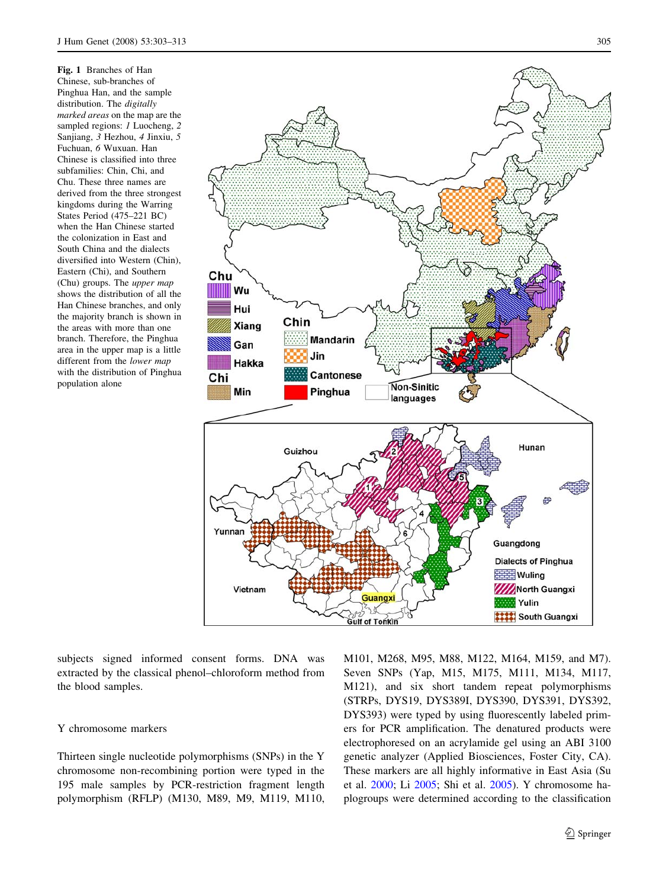<span id="page-2-0"></span>Fig. 1 Branches of Han Chinese, sub-branches of Pinghua Han, and the sample distribution. The digitally marked areas on the map are the sampled regions: *1* Luocheng, 2 Sanjiang, 3 Hezhou, 4 Jinxiu, 5 Fuchuan, 6 Wuxuan. Han Chinese is classified into three subfamilies: Chin, Chi, and Chu. These three names are derived from the three strongest kingdoms during the Warring States Period (475–221 BC) when the Han Chinese started the colonization in East and South China and the dialects diversified into Western (Chin), Eastern (Chi), and Southern (Chu) groups. The upper map shows the distribution of all the Han Chinese branches, and only the majority branch is shown in the areas with more than one branch. Therefore, the Pinghua area in the upper map is a little different from the lower map with the distribution of Pinghua population alone



subjects signed informed consent forms. DNA was extracted by the classical phenol–chloroform method from the blood samples.

## Y chromosome markers

Thirteen single nucleotide polymorphisms (SNPs) in the Y chromosome non-recombining portion were typed in the 195 male samples by PCR-restriction fragment length polymorphism (RFLP) (M130, M89, M9, M119, M110, M101, M268, M95, M88, M122, M164, M159, and M7). Seven SNPs (Yap, M15, M175, M111, M134, M117, M121), and six short tandem repeat polymorphisms (STRPs, DYS19, DYS389I, DYS390, DYS391, DYS392, DYS393) were typed by using fluorescently labeled primers for PCR amplification. The denatured products were electrophoresed on an acrylamide gel using an ABI 3100 genetic analyzer (Applied Biosciences, Foster City, CA). These markers are all highly informative in East Asia (Su et al. [2000](#page-10-0); Li [2005;](#page-10-0) Shi et al. [2005](#page-10-0)). Y chromosome haplogroups were determined according to the classification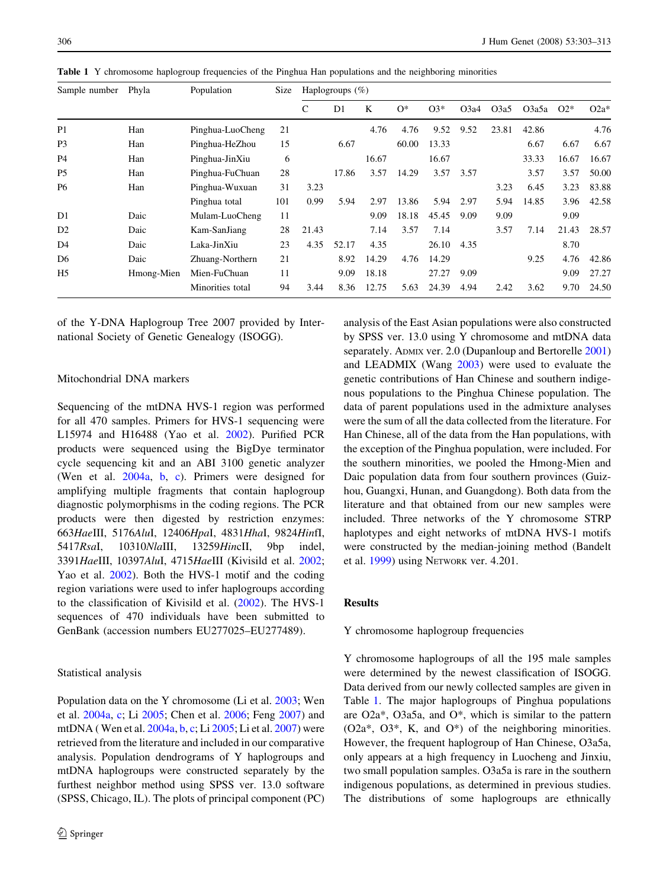| Sample number  | Phyla      | Population       | Size | Haplogroups $(\%)$ |       |       |       |       |      |       |       |       |         |
|----------------|------------|------------------|------|--------------------|-------|-------|-------|-------|------|-------|-------|-------|---------|
|                |            |                  |      | C                  | D1    | K     | $O^*$ | $O3*$ | O3a4 | O3a5  | O3a5a | $O2*$ | $O2a^*$ |
| P <sub>1</sub> | Han        | Pinghua-LuoCheng | 21   |                    |       | 4.76  | 4.76  | 9.52  | 9.52 | 23.81 | 42.86 |       | 4.76    |
| P <sub>3</sub> | Han        | Pinghua-HeZhou   | 15   |                    | 6.67  |       | 60.00 | 13.33 |      |       | 6.67  | 6.67  | 6.67    |
| P <sub>4</sub> | Han        | Pinghua-JinXiu   | 6    |                    |       | 16.67 |       | 16.67 |      |       | 33.33 | 16.67 | 16.67   |
| P <sub>5</sub> | Han        | Pinghua-FuChuan  | 28   |                    | 17.86 | 3.57  | 14.29 | 3.57  | 3.57 |       | 3.57  | 3.57  | 50.00   |
| <b>P6</b>      | Han        | Pinghua-Wuxuan   | 31   | 3.23               |       |       |       |       |      | 3.23  | 6.45  | 3.23  | 83.88   |
|                |            | Pinghua total    | 101  | 0.99               | 5.94  | 2.97  | 13.86 | 5.94  | 2.97 | 5.94  | 14.85 | 3.96  | 42.58   |
| D1             | Daic       | Mulam-LuoCheng   | 11   |                    |       | 9.09  | 18.18 | 45.45 | 9.09 | 9.09  |       | 9.09  |         |
| D2             | Daic       | Kam-SanJiang     | 28   | 21.43              |       | 7.14  | 3.57  | 7.14  |      | 3.57  | 7.14  | 21.43 | 28.57   |
| D <sub>4</sub> | Daic       | Laka-JinXiu      | 23   | 4.35               | 52.17 | 4.35  |       | 26.10 | 4.35 |       |       | 8.70  |         |
| D <sub>6</sub> | Daic       | Zhuang-Northern  | 21   |                    | 8.92  | 14.29 | 4.76  | 14.29 |      |       | 9.25  | 4.76  | 42.86   |
| H <sub>5</sub> | Hmong-Mien | Mien-FuChuan     | 11   |                    | 9.09  | 18.18 |       | 27.27 | 9.09 |       |       | 9.09  | 27.27   |
|                |            | Minorities total | 94   | 3.44               | 8.36  | 12.75 | 5.63  | 24.39 | 4.94 | 2.42  | 3.62  | 9.70  | 24.50   |

<span id="page-3-0"></span>Table 1 Y chromosome haplogroup frequencies of the Pinghua Han populations and the neighboring minorities

of the Y-DNA Haplogroup Tree 2007 provided by International Society of Genetic Genealogy (ISOGG).

## Mitochondrial DNA markers

Sequencing of the mtDNA HVS-1 region was performed for all 470 samples. Primers for HVS-1 sequencing were L15974 and H16488 (Yao et al. [2002](#page-10-0)). Purified PCR products were sequenced using the BigDye terminator cycle sequencing kit and an ABI 3100 genetic analyzer (Wen et al. [2004a,](#page-10-0) [b](#page-10-0), [c](#page-10-0)). Primers were designed for amplifying multiple fragments that contain haplogroup diagnostic polymorphisms in the coding regions. The PCR products were then digested by restriction enzymes: 663HaeIII, 5176AluI, 12406HpaI, 4831HhaI, 9824HinfI, 5417RsaI, 10310NlaIII, 13259HincII, 9bp indel, 3391HaeIII, 10397AluI, 4715HaeIII (Kivisild et al. [2002](#page-10-0); Yao et al. [2002\)](#page-10-0). Both the HVS-1 motif and the coding region variations were used to infer haplogroups according to the classification of Kivisild et al. ([2002\)](#page-10-0). The HVS-1 sequences of 470 individuals have been submitted to GenBank (accession numbers EU277025–EU277489).

## Statistical analysis

Population data on the Y chromosome (Li et al. [2003;](#page-10-0) Wen et al. [2004a,](#page-10-0) [c;](#page-10-0) Li [2005](#page-10-0); Chen et al. [2006;](#page-10-0) Feng [2007](#page-10-0)) and mtDNA ( Wen et al. [2004a,](#page-10-0) [b,](#page-10-0) [c;](#page-10-0) Li [2005;](#page-10-0) Li et al. [2007\)](#page-10-0) were retrieved from the literature and included in our comparative analysis. Population dendrograms of Y haplogroups and mtDNA haplogroups were constructed separately by the furthest neighbor method using SPSS ver. 13.0 software (SPSS, Chicago, IL). The plots of principal component (PC) analysis of the East Asian populations were also constructed by SPSS ver. 13.0 using Y chromosome and mtDNA data separately. ADMIX ver. 2.0 (Dupanloup and Bertorelle [2001\)](#page-10-0) and LEADMIX (Wang [2003](#page-10-0)) were used to evaluate the genetic contributions of Han Chinese and southern indigenous populations to the Pinghua Chinese population. The data of parent populations used in the admixture analyses were the sum of all the data collected from the literature. For Han Chinese, all of the data from the Han populations, with the exception of the Pinghua population, were included. For the southern minorities, we pooled the Hmong-Mien and Daic population data from four southern provinces (Guizhou, Guangxi, Hunan, and Guangdong). Both data from the literature and that obtained from our new samples were included. Three networks of the Y chromosome STRP haplotypes and eight networks of mtDNA HVS-1 motifs were constructed by the median-joining method (Bandelt et al. [1999\)](#page-10-0) using NETWORK ver. 4.201.

# Results

# Y chromosome haplogroup frequencies

Y chromosome haplogroups of all the 195 male samples were determined by the newest classification of ISOGG. Data derived from our newly collected samples are given in Table 1. The major haplogroups of Pinghua populations are O2a\*, O3a5a, and O\*, which is similar to the pattern (O2a\*, O3\*, K, and O\*) of the neighboring minorities. However, the frequent haplogroup of Han Chinese, O3a5a, only appears at a high frequency in Luocheng and Jinxiu, two small population samples. O3a5a is rare in the southern indigenous populations, as determined in previous studies. The distributions of some haplogroups are ethnically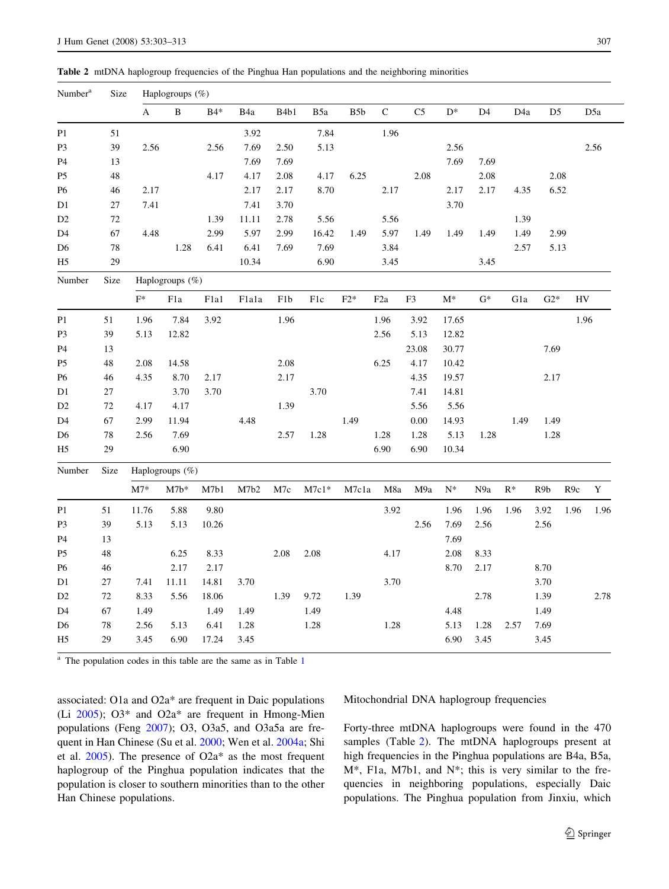Table 2 mtDNA haplogroup frequencies of the Pinghua Han populations and the neighboring minorities

|  |  | í |
|--|--|---|
|  |  |   |

| Number <sup>a</sup> | Size |                 | Haplogroups $(\%)$ |                               |                  |                               |                  |                  |                  |                |       |                  |                  |                  |                 |                  |
|---------------------|------|-----------------|--------------------|-------------------------------|------------------|-------------------------------|------------------|------------------|------------------|----------------|-------|------------------|------------------|------------------|-----------------|------------------|
|                     |      | A               | B                  | $B4*$                         | B <sub>4</sub> a | B <sub>4</sub> b <sub>1</sub> | B <sub>5</sub> a | B <sub>5</sub> b | ${\bf C}$        | C <sub>5</sub> | $D^*$ | D <sub>4</sub>   | D <sub>4</sub> a | D <sub>5</sub>   |                 | D <sub>5</sub> a |
| P1                  | 51   |                 |                    |                               | 3.92             |                               | 7.84             |                  | 1.96             |                |       |                  |                  |                  |                 |                  |
| P <sub>3</sub>      | 39   | 2.56            |                    | 2.56                          | 7.69             | 2.50                          | 5.13             |                  |                  |                | 2.56  |                  |                  |                  |                 | 2.56             |
| P <sub>4</sub>      | 13   |                 |                    |                               | 7.69             | 7.69                          |                  |                  |                  |                | 7.69  | 7.69             |                  |                  |                 |                  |
| P5                  | 48   |                 |                    | 4.17                          | 4.17             | 2.08                          | 4.17             | 6.25             |                  | 2.08           |       | 2.08             |                  | 2.08             |                 |                  |
| P <sub>6</sub>      | 46   | 2.17            |                    |                               | 2.17             | 2.17                          | 8.70             |                  | 2.17             |                | 2.17  | 2.17             | 4.35             | 6.52             |                 |                  |
| D1                  | 27   | 7.41            |                    |                               | 7.41             | 3.70                          |                  |                  |                  |                | 3.70  |                  |                  |                  |                 |                  |
| D <sub>2</sub>      | 72   |                 |                    | 1.39                          | 11.11            | 2.78                          | 5.56             |                  | 5.56             |                |       |                  | 1.39             |                  |                 |                  |
| D <sub>4</sub>      | 67   | 4.48            |                    | 2.99                          | 5.97             | 2.99                          | 16.42            | 1.49             | 5.97             | 1.49           | 1.49  | 1.49             | 1.49             | 2.99             |                 |                  |
| D6                  | 78   |                 | 1.28               | 6.41                          | 6.41             | 7.69                          | 7.69             |                  | 3.84             |                |       |                  | 2.57             | 5.13             |                 |                  |
| H <sub>5</sub>      | 29   |                 |                    |                               | 10.34            |                               | 6.90             |                  | 3.45             |                |       | 3.45             |                  |                  |                 |                  |
| Number              | Size |                 | Haplogroups $(\%)$ |                               |                  |                               |                  |                  |                  |                |       |                  |                  |                  |                 |                  |
|                     |      | $F^*$           | F <sub>1</sub> a   | F <sub>1</sub> a <sub>1</sub> | Flala            | F <sub>1</sub> b              | F1c              | $F2*$            | F <sub>2</sub> a | F <sub>3</sub> | $M^*$ | $G^*$            | Gla              | $G2*$            | HV              |                  |
| P1                  | 51   | 1.96            | 7.84               | 3.92                          |                  | 1.96                          |                  |                  | 1.96             | 3.92           | 17.65 |                  |                  |                  | 1.96            |                  |
| P <sub>3</sub>      | 39   | 5.13            | 12.82              |                               |                  |                               |                  |                  | 2.56             | 5.13           | 12.82 |                  |                  |                  |                 |                  |
| P <sub>4</sub>      | 13   |                 |                    |                               |                  |                               |                  |                  |                  | 23.08          | 30.77 |                  |                  | 7.69             |                 |                  |
| P5                  | 48   | 2.08            | 14.58              |                               |                  | 2.08                          |                  |                  | 6.25             | 4.17           | 10.42 |                  |                  |                  |                 |                  |
| P <sub>6</sub>      | 46   | 4.35            | 8.70               | 2.17                          |                  | 2.17                          |                  |                  |                  | 4.35           | 19.57 |                  |                  | 2.17             |                 |                  |
| D1                  | 27   |                 | 3.70               | 3.70                          |                  |                               | 3.70             |                  |                  | 7.41           | 14.81 |                  |                  |                  |                 |                  |
| D <sub>2</sub>      | 72   | 4.17            | 4.17               |                               |                  | 1.39                          |                  |                  |                  | 5.56           | 5.56  |                  |                  |                  |                 |                  |
| D <sub>4</sub>      | 67   | 2.99            | 11.94              |                               | 4.48             |                               |                  | 1.49             |                  | 0.00           | 14.93 |                  | 1.49             | 1.49             |                 |                  |
| D <sub>6</sub>      | 78   | 2.56            | 7.69               |                               |                  | 2.57                          | 1.28             |                  | 1.28             | 1.28           | 5.13  | 1.28             |                  | 1.28             |                 |                  |
| H5                  | 29   |                 | 6.90               |                               |                  |                               |                  |                  | 6.90             | 6.90           | 10.34 |                  |                  |                  |                 |                  |
| Number              | Size |                 | Haplogroups $(\%)$ |                               |                  |                               |                  |                  |                  |                |       |                  |                  |                  |                 |                  |
|                     |      | $\mathbf{M}7^*$ | $M7b*$             | M7b1                          | M7b2             | M7c                           | $M7c1*$          | M7c1a            | M8a              | M9a            | $N^*$ | N <sub>9</sub> a | $R^*$            | R <sub>9</sub> b | R <sub>9c</sub> | Y                |
| P1                  | 51   | 11.76           | 5.88               | 9.80                          |                  |                               |                  |                  | 3.92             |                | 1.96  | 1.96             | 1.96             | 3.92             | 1.96            | 1.96             |
| P <sub>3</sub>      | 39   | 5.13            | 5.13               | 10.26                         |                  |                               |                  |                  |                  | 2.56           | 7.69  | 2.56             |                  | 2.56             |                 |                  |
| P4                  | 13   |                 |                    |                               |                  |                               |                  |                  |                  |                | 7.69  |                  |                  |                  |                 |                  |
| P5                  | 48   |                 | 6.25               | 8.33                          |                  | 2.08                          | 2.08             |                  | 4.17             |                | 2.08  | 8.33             |                  |                  |                 |                  |
| P <sub>6</sub>      | 46   |                 | 2.17               | 2.17                          |                  |                               |                  |                  |                  |                | 8.70  | 2.17             |                  | 8.70             |                 |                  |
| D1                  | 27   | 7.41            | 11.11              | 14.81                         | 3.70             |                               |                  |                  | 3.70             |                |       |                  |                  | 3.70             |                 |                  |
| D <sub>2</sub>      | 72   | 8.33            | 5.56               | 18.06                         |                  | 1.39                          | 9.72             | 1.39             |                  |                |       | 2.78             |                  | 1.39             |                 | 2.78             |
| D <sub>4</sub>      | 67   | 1.49            |                    | 1.49                          | 1.49             |                               | 1.49             |                  |                  |                | 4.48  |                  |                  | 1.49             |                 |                  |
| D <sub>6</sub>      | 78   | 2.56            | 5.13               | 6.41                          | 1.28             |                               | 1.28             |                  | 1.28             |                | 5.13  | 1.28             | 2.57             | 7.69             |                 |                  |
| H <sub>5</sub>      | 29   | 3.45            | 6.90               | 17.24                         | 3.45             |                               |                  |                  |                  |                | 6.90  | 3.45             |                  | 3.45             |                 |                  |

<sup>a</sup> The population codes in this table are the same as in Table [1](#page-3-0)

associated: O1a and O2a\* are frequent in Daic populations (Li [2005](#page-10-0)); O3\* and O2a\* are frequent in Hmong-Mien populations (Feng [2007\)](#page-10-0); O3, O3a5, and O3a5a are frequent in Han Chinese (Su et al. [2000;](#page-10-0) Wen et al. [2004a;](#page-10-0) Shi et al. [2005](#page-10-0)). The presence of O2a\* as the most frequent haplogroup of the Pinghua population indicates that the population is closer to southern minorities than to the other Han Chinese populations.

# Mitochondrial DNA haplogroup frequencies

Forty-three mtDNA haplogroups were found in the 470 samples (Table 2). The mtDNA haplogroups present at high frequencies in the Pinghua populations are B4a, B5a, M\*, F1a, M7b1, and N\*; this is very similar to the frequencies in neighboring populations, especially Daic populations. The Pinghua population from Jinxiu, which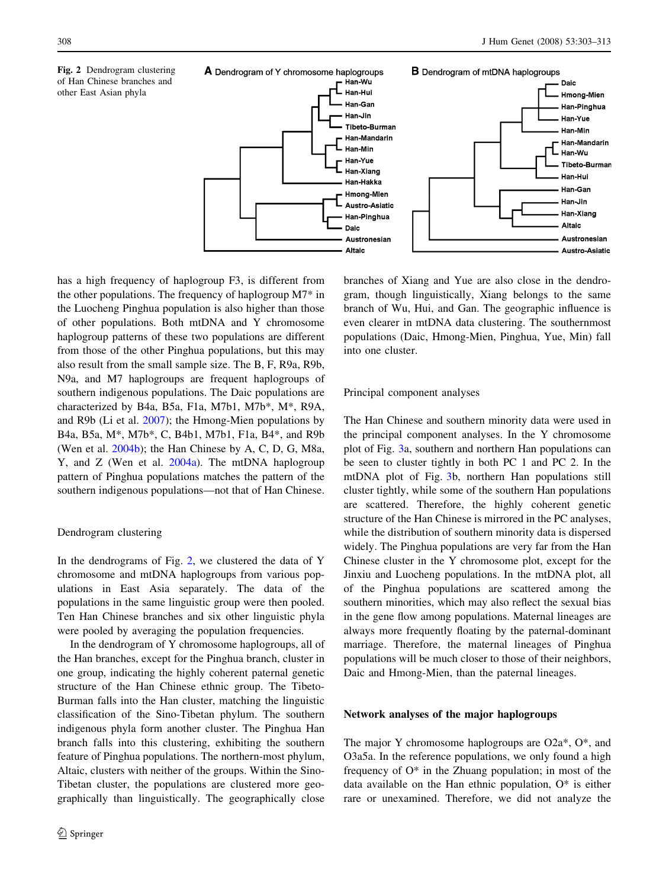



has a high frequency of haplogroup F3, is different from the other populations. The frequency of haplogroup M7\* in the Luocheng Pinghua population is also higher than those of other populations. Both mtDNA and Y chromosome haplogroup patterns of these two populations are different from those of the other Pinghua populations, but this may also result from the small sample size. The B, F, R9a, R9b, N9a, and M7 haplogroups are frequent haplogroups of southern indigenous populations. The Daic populations are characterized by B4a, B5a, F1a, M7b1, M7b\*, M\*, R9A, and R9b (Li et al. [2007](#page-10-0)); the Hmong-Mien populations by B4a, B5a, M\*, M7b\*, C, B4b1, M7b1, F1a, B4\*, and R9b (Wen et al. [2004b\)](#page-10-0); the Han Chinese by A, C, D, G, M8a, Y, and Z (Wen et al. [2004a](#page-10-0)). The mtDNA haplogroup pattern of Pinghua populations matches the pattern of the southern indigenous populations—not that of Han Chinese.

#### Dendrogram clustering

In the dendrograms of Fig. 2, we clustered the data of Y chromosome and mtDNA haplogroups from various populations in East Asia separately. The data of the populations in the same linguistic group were then pooled. Ten Han Chinese branches and six other linguistic phyla were pooled by averaging the population frequencies.

In the dendrogram of Y chromosome haplogroups, all of the Han branches, except for the Pinghua branch, cluster in one group, indicating the highly coherent paternal genetic structure of the Han Chinese ethnic group. The Tibeto-Burman falls into the Han cluster, matching the linguistic classification of the Sino-Tibetan phylum. The southern indigenous phyla form another cluster. The Pinghua Han branch falls into this clustering, exhibiting the southern feature of Pinghua populations. The northern-most phylum, Altaic, clusters with neither of the groups. Within the Sino-Tibetan cluster, the populations are clustered more geographically than linguistically. The geographically close branches of Xiang and Yue are also close in the dendrogram, though linguistically, Xiang belongs to the same branch of Wu, Hui, and Gan. The geographic influence is even clearer in mtDNA data clustering. The southernmost populations (Daic, Hmong-Mien, Pinghua, Yue, Min) fall into one cluster.

Principal component analyses

The Han Chinese and southern minority data were used in the principal component analyses. In the Y chromosome plot of Fig. [3a](#page-6-0), southern and northern Han populations can be seen to cluster tightly in both PC 1 and PC 2. In the mtDNA plot of Fig. [3b](#page-6-0), northern Han populations still cluster tightly, while some of the southern Han populations are scattered. Therefore, the highly coherent genetic structure of the Han Chinese is mirrored in the PC analyses, while the distribution of southern minority data is dispersed widely. The Pinghua populations are very far from the Han Chinese cluster in the Y chromosome plot, except for the Jinxiu and Luocheng populations. In the mtDNA plot, all of the Pinghua populations are scattered among the southern minorities, which may also reflect the sexual bias in the gene flow among populations. Maternal lineages are always more frequently floating by the paternal-dominant marriage. Therefore, the maternal lineages of Pinghua populations will be much closer to those of their neighbors, Daic and Hmong-Mien, than the paternal lineages.

#### Network analyses of the major haplogroups

The major Y chromosome haplogroups are O2a\*, O\*, and O3a5a. In the reference populations, we only found a high frequency of  $O^*$  in the Zhuang population; in most of the data available on the Han ethnic population, O\* is either rare or unexamined. Therefore, we did not analyze the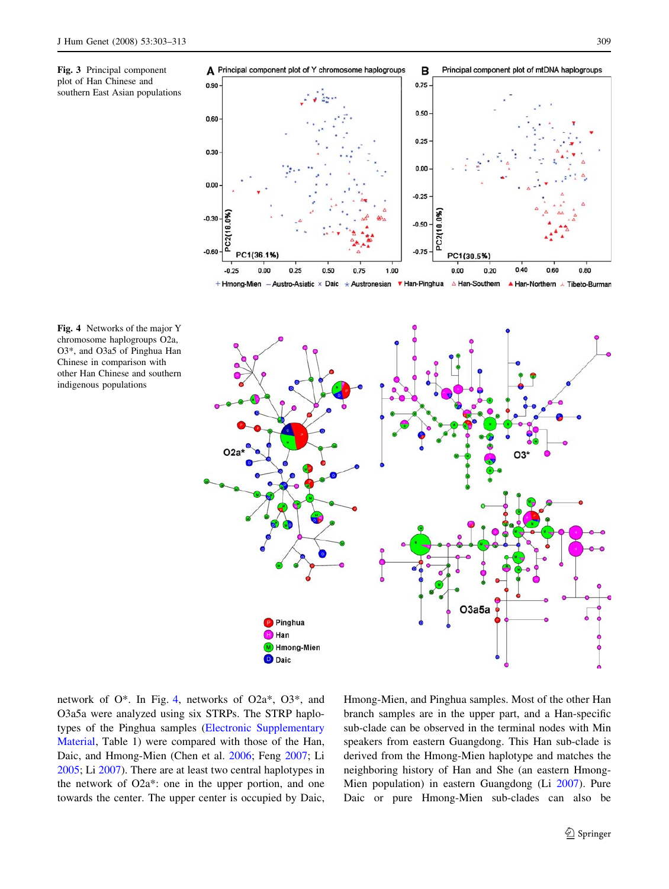<span id="page-6-0"></span>







network of O\*. In Fig. 4, networks of O2a\*, O3\*, and O3a5a were analyzed using six STRPs. The STRP haplotypes of the Pinghua samples (Electronic Supplementary Material, Table 1) were compared with those of the Han, Daic, and Hmong-Mien (Chen et al. [2006;](#page-10-0) Feng [2007;](#page-10-0) Li [2005;](#page-10-0) Li [2007\)](#page-10-0). There are at least two central haplotypes in the network of O2a\*: one in the upper portion, and one towards the center. The upper center is occupied by Daic,

Hmong-Mien, and Pinghua samples. Most of the other Han branch samples are in the upper part, and a Han-specific sub-clade can be observed in the terminal nodes with Min speakers from eastern Guangdong. This Han sub-clade is derived from the Hmong-Mien haplotype and matches the neighboring history of Han and She (an eastern Hmong-Mien population) in eastern Guangdong (Li [2007\)](#page-10-0). Pure Daic or pure Hmong-Mien sub-clades can also be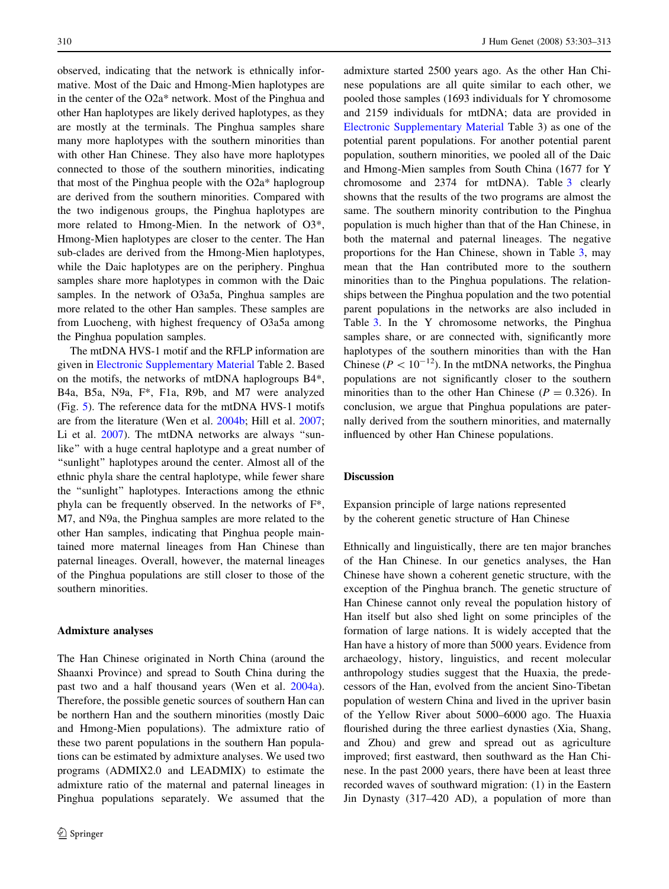observed, indicating that the network is ethnically informative. Most of the Daic and Hmong-Mien haplotypes are in the center of the O2a\* network. Most of the Pinghua and other Han haplotypes are likely derived haplotypes, as they are mostly at the terminals. The Pinghua samples share many more haplotypes with the southern minorities than with other Han Chinese. They also have more haplotypes connected to those of the southern minorities, indicating that most of the Pinghua people with the O2a\* haplogroup are derived from the southern minorities. Compared with the two indigenous groups, the Pinghua haplotypes are more related to Hmong-Mien. In the network of O3\*, Hmong-Mien haplotypes are closer to the center. The Han sub-clades are derived from the Hmong-Mien haplotypes, while the Daic haplotypes are on the periphery. Pinghua samples share more haplotypes in common with the Daic samples. In the network of O3a5a, Pinghua samples are more related to the other Han samples. These samples are from Luocheng, with highest frequency of O3a5a among the Pinghua population samples.

The mtDNA HVS-1 motif and the RFLP information are given in Electronic Supplementary Material Table 2. Based on the motifs, the networks of mtDNA haplogroups B4\*, B4a, B5a, N9a, F\*, F1a, R9b, and M7 were analyzed (Fig. [5](#page-8-0)). The reference data for the mtDNA HVS-1 motifs are from the literature (Wen et al. [2004b](#page-10-0); Hill et al. [2007](#page-10-0); Li et al. [2007](#page-10-0)). The mtDNA networks are always "sunlike'' with a huge central haplotype and a great number of ''sunlight'' haplotypes around the center. Almost all of the ethnic phyla share the central haplotype, while fewer share the ''sunlight'' haplotypes. Interactions among the ethnic phyla can be frequently observed. In the networks of F\*, M7, and N9a, the Pinghua samples are more related to the other Han samples, indicating that Pinghua people maintained more maternal lineages from Han Chinese than paternal lineages. Overall, however, the maternal lineages of the Pinghua populations are still closer to those of the southern minorities.

#### Admixture analyses

The Han Chinese originated in North China (around the Shaanxi Province) and spread to South China during the past two and a half thousand years (Wen et al. [2004a](#page-10-0)). Therefore, the possible genetic sources of southern Han can be northern Han and the southern minorities (mostly Daic and Hmong-Mien populations). The admixture ratio of these two parent populations in the southern Han populations can be estimated by admixture analyses. We used two programs (ADMIX2.0 and LEADMIX) to estimate the admixture ratio of the maternal and paternal lineages in Pinghua populations separately. We assumed that the

admixture started 2500 years ago. As the other Han Chinese populations are all quite similar to each other, we pooled those samples (1693 individuals for Y chromosome and 2159 individuals for mtDNA; data are provided in Electronic Supplementary Material Table 3) as one of the potential parent populations. For another potential parent population, southern minorities, we pooled all of the Daic and Hmong-Mien samples from South China (1677 for Y chromosome and 2374 for mtDNA). Table [3](#page-9-0) clearly showns that the results of the two programs are almost the same. The southern minority contribution to the Pinghua population is much higher than that of the Han Chinese, in both the maternal and paternal lineages. The negative proportions for the Han Chinese, shown in Table [3](#page-9-0), may mean that the Han contributed more to the southern minorities than to the Pinghua populations. The relationships between the Pinghua population and the two potential parent populations in the networks are also included in Table [3](#page-9-0). In the Y chromosome networks, the Pinghua samples share, or are connected with, significantly more haplotypes of the southern minorities than with the Han Chinese ( $P < 10^{-12}$ ). In the mtDNA networks, the Pinghua populations are not significantly closer to the southern minorities than to the other Han Chinese ( $P = 0.326$ ). In conclusion, we argue that Pinghua populations are paternally derived from the southern minorities, and maternally influenced by other Han Chinese populations.

# Discussion

Expansion principle of large nations represented by the coherent genetic structure of Han Chinese

Ethnically and linguistically, there are ten major branches of the Han Chinese. In our genetics analyses, the Han Chinese have shown a coherent genetic structure, with the exception of the Pinghua branch. The genetic structure of Han Chinese cannot only reveal the population history of Han itself but also shed light on some principles of the formation of large nations. It is widely accepted that the Han have a history of more than 5000 years. Evidence from archaeology, history, linguistics, and recent molecular anthropology studies suggest that the Huaxia, the predecessors of the Han, evolved from the ancient Sino-Tibetan population of western China and lived in the upriver basin of the Yellow River about 5000–6000 ago. The Huaxia flourished during the three earliest dynasties (Xia, Shang, and Zhou) and grew and spread out as agriculture improved; first eastward, then southward as the Han Chinese. In the past 2000 years, there have been at least three recorded waves of southward migration: (1) in the Eastern Jin Dynasty (317–420 AD), a population of more than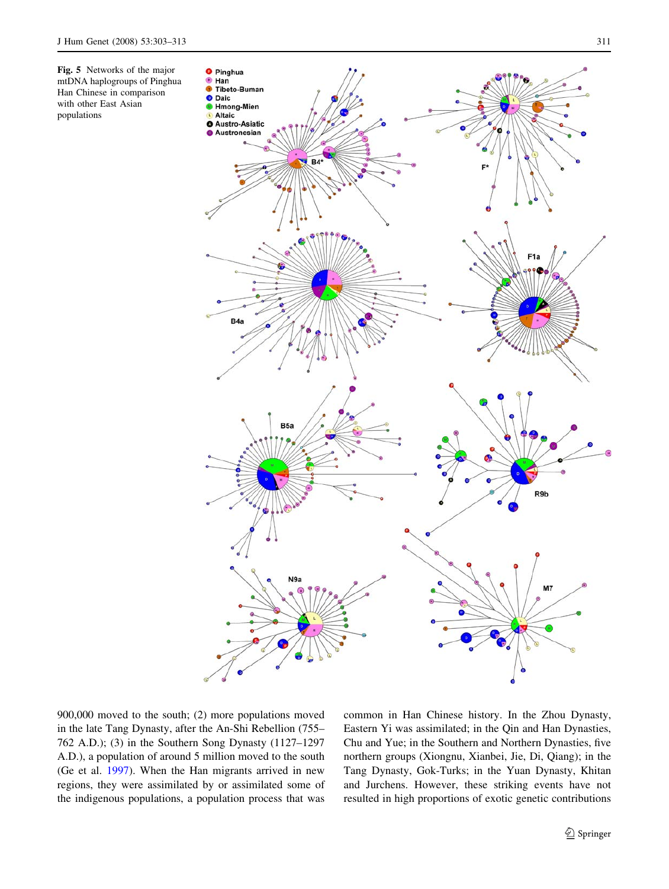<span id="page-8-0"></span>Fig. 5 Networks of the major mtDNA haplogroups of Pinghua Han Chinese in comparison with other East Asian populations



900,000 moved to the south; (2) more populations moved in the late Tang Dynasty, after the An-Shi Rebellion (755– 762 A.D.); (3) in the Southern Song Dynasty (1127–1297 A.D.), a population of around 5 million moved to the south (Ge et al. [1997\)](#page-10-0). When the Han migrants arrived in new regions, they were assimilated by or assimilated some of the indigenous populations, a population process that was common in Han Chinese history. In the Zhou Dynasty, Eastern Yi was assimilated; in the Qin and Han Dynasties, Chu and Yue; in the Southern and Northern Dynasties, five northern groups (Xiongnu, Xianbei, Jie, Di, Qiang); in the Tang Dynasty, Gok-Turks; in the Yuan Dynasty, Khitan and Jurchens. However, these striking events have not resulted in high proportions of exotic genetic contributions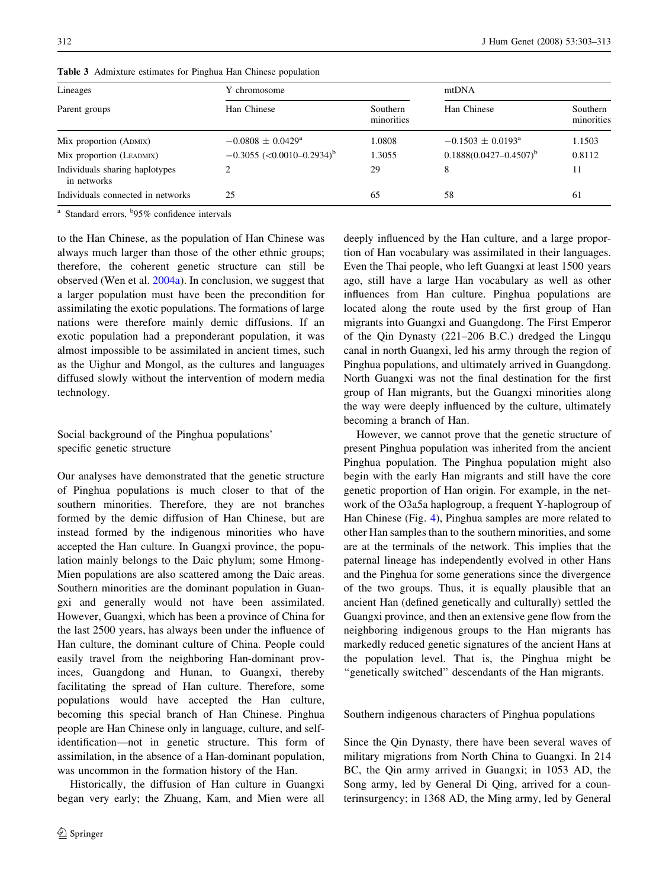| Lineages                                      | Y chromosome                            | mtDNA                  |                                 |                        |  |  |  |
|-----------------------------------------------|-----------------------------------------|------------------------|---------------------------------|------------------------|--|--|--|
| Parent groups                                 | Han Chinese                             | Southern<br>minorities | Han Chinese                     | Southern<br>minorities |  |  |  |
| Mix proportion (ADMIX)                        | $-0.0808 \pm 0.0429$ <sup>a</sup>       | 1.0808                 | $-0.1503 \pm 0.0193^{\text{a}}$ | 1.1503                 |  |  |  |
| Mix proportion (LEADMIX)                      | $-0.3055$ (<0.0010-0.2934) <sup>b</sup> | 1.3055                 | $0.1888(0.0427 - 0.4507)^{b}$   | 0.8112                 |  |  |  |
| Individuals sharing haplotypes<br>in networks |                                         | 29                     | 8                               | 11                     |  |  |  |
| Individuals connected in networks             | 25                                      | 65                     | 58                              | 61                     |  |  |  |

<span id="page-9-0"></span>Table 3 Admixture estimates for Pinghua Han Chinese population

<sup>a</sup> Standard errors, <sup>b</sup>95% confidence intervals

to the Han Chinese, as the population of Han Chinese was always much larger than those of the other ethnic groups; therefore, the coherent genetic structure can still be observed (Wen et al. [2004a](#page-10-0)). In conclusion, we suggest that a larger population must have been the precondition for assimilating the exotic populations. The formations of large nations were therefore mainly demic diffusions. If an exotic population had a preponderant population, it was almost impossible to be assimilated in ancient times, such as the Uighur and Mongol, as the cultures and languages diffused slowly without the intervention of modern media technology.

# Social background of the Pinghua populations' specific genetic structure

Our analyses have demonstrated that the genetic structure of Pinghua populations is much closer to that of the southern minorities. Therefore, they are not branches formed by the demic diffusion of Han Chinese, but are instead formed by the indigenous minorities who have accepted the Han culture. In Guangxi province, the population mainly belongs to the Daic phylum; some Hmong-Mien populations are also scattered among the Daic areas. Southern minorities are the dominant population in Guangxi and generally would not have been assimilated. However, Guangxi, which has been a province of China for the last 2500 years, has always been under the influence of Han culture, the dominant culture of China. People could easily travel from the neighboring Han-dominant provinces, Guangdong and Hunan, to Guangxi, thereby facilitating the spread of Han culture. Therefore, some populations would have accepted the Han culture, becoming this special branch of Han Chinese. Pinghua people are Han Chinese only in language, culture, and selfidentification—not in genetic structure. This form of assimilation, in the absence of a Han-dominant population, was uncommon in the formation history of the Han.

Historically, the diffusion of Han culture in Guangxi began very early; the Zhuang, Kam, and Mien were all deeply influenced by the Han culture, and a large proportion of Han vocabulary was assimilated in their languages. Even the Thai people, who left Guangxi at least 1500 years ago, still have a large Han vocabulary as well as other influences from Han culture. Pinghua populations are located along the route used by the first group of Han migrants into Guangxi and Guangdong. The First Emperor of the Qin Dynasty (221–206 B.C.) dredged the Lingqu canal in north Guangxi, led his army through the region of Pinghua populations, and ultimately arrived in Guangdong. North Guangxi was not the final destination for the first group of Han migrants, but the Guangxi minorities along the way were deeply influenced by the culture, ultimately becoming a branch of Han.

However, we cannot prove that the genetic structure of present Pinghua population was inherited from the ancient Pinghua population. The Pinghua population might also begin with the early Han migrants and still have the core genetic proportion of Han origin. For example, in the network of the O3a5a haplogroup, a frequent Y-haplogroup of Han Chinese (Fig. [4](#page-6-0)), Pinghua samples are more related to other Han samples than to the southern minorities, and some are at the terminals of the network. This implies that the paternal lineage has independently evolved in other Hans and the Pinghua for some generations since the divergence of the two groups. Thus, it is equally plausible that an ancient Han (defined genetically and culturally) settled the Guangxi province, and then an extensive gene flow from the neighboring indigenous groups to the Han migrants has markedly reduced genetic signatures of the ancient Hans at the population level. That is, the Pinghua might be "genetically switched" descendants of the Han migrants.

# Southern indigenous characters of Pinghua populations

Since the Qin Dynasty, there have been several waves of military migrations from North China to Guangxi. In 214 BC, the Qin army arrived in Guangxi; in 1053 AD, the Song army, led by General Di Qing, arrived for a counterinsurgency; in 1368 AD, the Ming army, led by General